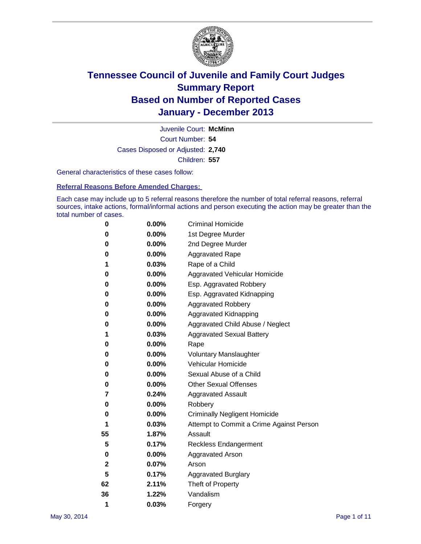

Court Number: **54** Juvenile Court: **McMinn** Cases Disposed or Adjusted: **2,740** Children: **557**

General characteristics of these cases follow:

**Referral Reasons Before Amended Charges:** 

Each case may include up to 5 referral reasons therefore the number of total referral reasons, referral sources, intake actions, formal/informal actions and person executing the action may be greater than the total number of cases.

| 0  | 0.00%    | <b>Criminal Homicide</b>                 |  |  |
|----|----------|------------------------------------------|--|--|
| 0  | 0.00%    | 1st Degree Murder                        |  |  |
| 0  | 0.00%    | 2nd Degree Murder                        |  |  |
| 0  | $0.00\%$ | <b>Aggravated Rape</b>                   |  |  |
| 1  | 0.03%    | Rape of a Child                          |  |  |
| 0  | 0.00%    | <b>Aggravated Vehicular Homicide</b>     |  |  |
| 0  | 0.00%    | Esp. Aggravated Robbery                  |  |  |
| 0  | 0.00%    | Esp. Aggravated Kidnapping               |  |  |
| 0  | 0.00%    | <b>Aggravated Robbery</b>                |  |  |
| 0  | 0.00%    | Aggravated Kidnapping                    |  |  |
| 0  | 0.00%    | Aggravated Child Abuse / Neglect         |  |  |
| 1  | 0.03%    | <b>Aggravated Sexual Battery</b>         |  |  |
| 0  | 0.00%    | Rape                                     |  |  |
| 0  | 0.00%    | <b>Voluntary Manslaughter</b>            |  |  |
| 0  | 0.00%    | Vehicular Homicide                       |  |  |
| 0  | 0.00%    | Sexual Abuse of a Child                  |  |  |
| 0  | 0.00%    | <b>Other Sexual Offenses</b>             |  |  |
| 7  | 0.24%    | <b>Aggravated Assault</b>                |  |  |
| 0  | 0.00%    | Robbery                                  |  |  |
| 0  | 0.00%    | <b>Criminally Negligent Homicide</b>     |  |  |
| 1  | 0.03%    | Attempt to Commit a Crime Against Person |  |  |
| 55 | 1.87%    | Assault                                  |  |  |
| 5  | 0.17%    | <b>Reckless Endangerment</b>             |  |  |
| 0  | 0.00%    | <b>Aggravated Arson</b>                  |  |  |
| 2  | 0.07%    | Arson                                    |  |  |
| 5  | 0.17%    | <b>Aggravated Burglary</b>               |  |  |
| 62 | 2.11%    | Theft of Property                        |  |  |
| 36 | 1.22%    | Vandalism                                |  |  |
| 1  | 0.03%    | Forgery                                  |  |  |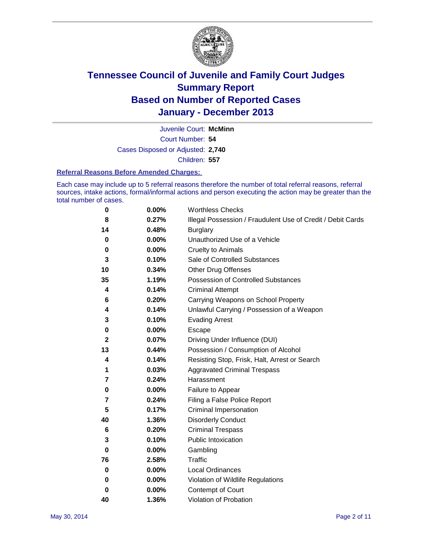

Court Number: **54** Juvenile Court: **McMinn** Cases Disposed or Adjusted: **2,740** Children: **557**

#### **Referral Reasons Before Amended Charges:**

Each case may include up to 5 referral reasons therefore the number of total referral reasons, referral sources, intake actions, formal/informal actions and person executing the action may be greater than the total number of cases.

| 0            | 0.00% | <b>Worthless Checks</b>                                     |
|--------------|-------|-------------------------------------------------------------|
| 8            | 0.27% | Illegal Possession / Fraudulent Use of Credit / Debit Cards |
| 14           | 0.48% | <b>Burglary</b>                                             |
| 0            | 0.00% | Unauthorized Use of a Vehicle                               |
| 0            | 0.00% | <b>Cruelty to Animals</b>                                   |
| 3            | 0.10% | Sale of Controlled Substances                               |
| 10           | 0.34% | <b>Other Drug Offenses</b>                                  |
| 35           | 1.19% | Possession of Controlled Substances                         |
| 4            | 0.14% | <b>Criminal Attempt</b>                                     |
| 6            | 0.20% | Carrying Weapons on School Property                         |
| 4            | 0.14% | Unlawful Carrying / Possession of a Weapon                  |
| 3            | 0.10% | <b>Evading Arrest</b>                                       |
| 0            | 0.00% | <b>Escape</b>                                               |
| $\mathbf{2}$ | 0.07% | Driving Under Influence (DUI)                               |
| 13           | 0.44% | Possession / Consumption of Alcohol                         |
| 4            | 0.14% | Resisting Stop, Frisk, Halt, Arrest or Search               |
| 1            | 0.03% | <b>Aggravated Criminal Trespass</b>                         |
| 7            | 0.24% | Harassment                                                  |
| 0            | 0.00% | Failure to Appear                                           |
| 7            | 0.24% | Filing a False Police Report                                |
| 5            | 0.17% | Criminal Impersonation                                      |
| 40           | 1.36% | <b>Disorderly Conduct</b>                                   |
| 6            | 0.20% | <b>Criminal Trespass</b>                                    |
| 3            | 0.10% | <b>Public Intoxication</b>                                  |
| 0            | 0.00% | Gambling                                                    |
| 76           | 2.58% | <b>Traffic</b>                                              |
| 0            | 0.00% | Local Ordinances                                            |
| 0            | 0.00% | Violation of Wildlife Regulations                           |
| 0            | 0.00% | Contempt of Court                                           |
| 40           | 1.36% | Violation of Probation                                      |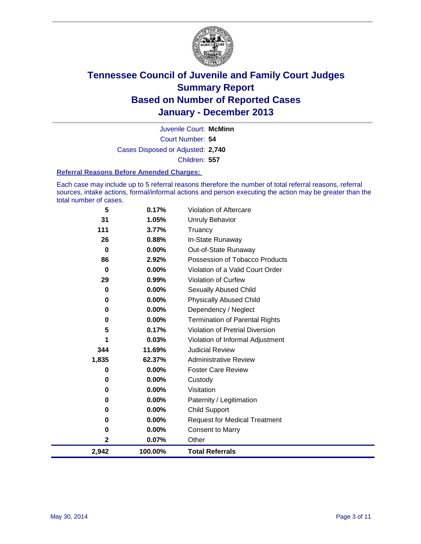

Court Number: **54** Juvenile Court: **McMinn** Cases Disposed or Adjusted: **2,740** Children: **557**

#### **Referral Reasons Before Amended Charges:**

Each case may include up to 5 referral reasons therefore the number of total referral reasons, referral sources, intake actions, formal/informal actions and person executing the action may be greater than the total number of cases.

| 5        | 0.17%   | <b>Violation of Aftercare</b>          |
|----------|---------|----------------------------------------|
| 31       | 1.05%   | Unruly Behavior                        |
| 111      | 3.77%   | Truancy                                |
| 26       | 0.88%   | In-State Runaway                       |
| $\bf{0}$ | 0.00%   | Out-of-State Runaway                   |
| 86       | 2.92%   | Possession of Tobacco Products         |
| $\bf{0}$ | 0.00%   | Violation of a Valid Court Order       |
| 29       | 0.99%   | Violation of Curfew                    |
| 0        | 0.00%   | Sexually Abused Child                  |
| 0        | 0.00%   | <b>Physically Abused Child</b>         |
| 0        | 0.00%   | Dependency / Neglect                   |
| 0        | 0.00%   | <b>Termination of Parental Rights</b>  |
| 5        | 0.17%   | <b>Violation of Pretrial Diversion</b> |
|          | 0.03%   | Violation of Informal Adjustment       |
| 344      | 11.69%  | <b>Judicial Review</b>                 |
| 1,835    | 62.37%  | <b>Administrative Review</b>           |
| 0        | 0.00%   | <b>Foster Care Review</b>              |
| 0        | 0.00%   | Custody                                |
| 0        | 0.00%   | Visitation                             |
| 0        | 0.00%   | Paternity / Legitimation               |
| 0        | 0.00%   | <b>Child Support</b>                   |
| 0        | 0.00%   | <b>Request for Medical Treatment</b>   |
| 0        | 0.00%   | <b>Consent to Marry</b>                |
| 2        | 0.07%   | Other                                  |
| 2,942    | 100.00% | <b>Total Referrals</b>                 |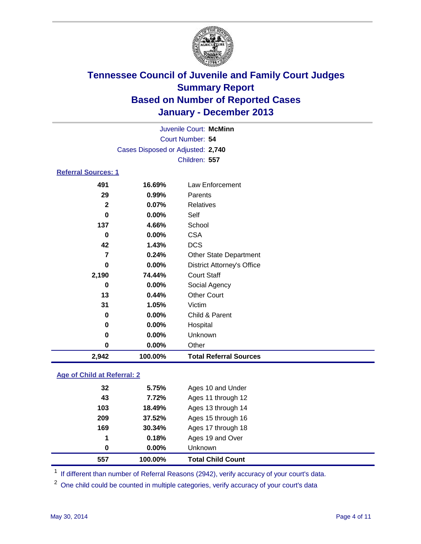

|                            | Juvenile Court: McMinn            |                                   |  |  |  |
|----------------------------|-----------------------------------|-----------------------------------|--|--|--|
| Court Number: 54           |                                   |                                   |  |  |  |
|                            | Cases Disposed or Adjusted: 2,740 |                                   |  |  |  |
|                            |                                   | Children: 557                     |  |  |  |
| <b>Referral Sources: 1</b> |                                   |                                   |  |  |  |
| 491                        | 16.69%                            | Law Enforcement                   |  |  |  |
| 29                         | 0.99%                             | Parents                           |  |  |  |
| $\mathbf{2}$               | 0.07%                             | Relatives                         |  |  |  |
| $\bf{0}$                   | $0.00\%$                          | Self                              |  |  |  |
| 137                        | 4.66%                             | School                            |  |  |  |
| 0                          | $0.00\%$                          | <b>CSA</b>                        |  |  |  |
| 42                         | 1.43%                             | <b>DCS</b>                        |  |  |  |
| $\overline{7}$             | 0.24%                             | <b>Other State Department</b>     |  |  |  |
| 0                          | $0.00\%$                          | <b>District Attorney's Office</b> |  |  |  |
| 2,190                      | 74.44%                            | <b>Court Staff</b>                |  |  |  |
| 0                          | 0.00%                             | Social Agency                     |  |  |  |
| 13                         | 0.44%                             | <b>Other Court</b>                |  |  |  |
| 31                         | 1.05%                             | Victim                            |  |  |  |
| 0                          | 0.00%                             | Child & Parent                    |  |  |  |
| 0                          | 0.00%                             | Hospital                          |  |  |  |
| 0                          | 0.00%                             | Unknown                           |  |  |  |
| 0                          | 0.00%                             | Other                             |  |  |  |
| 2,942                      | 100.00%                           | <b>Total Referral Sources</b>     |  |  |  |

### **Age of Child at Referral: 2**

| 557 | 100.00% | <b>Total Child Count</b> |
|-----|---------|--------------------------|
| 0   | 0.00%   | <b>Unknown</b>           |
| 1   | 0.18%   | Ages 19 and Over         |
| 169 | 30.34%  | Ages 17 through 18       |
| 209 | 37.52%  | Ages 15 through 16       |
| 103 | 18.49%  | Ages 13 through 14       |
| 43  | 7.72%   | Ages 11 through 12       |
| 32  | 5.75%   | Ages 10 and Under        |

<sup>1</sup> If different than number of Referral Reasons (2942), verify accuracy of your court's data.

<sup>2</sup> One child could be counted in multiple categories, verify accuracy of your court's data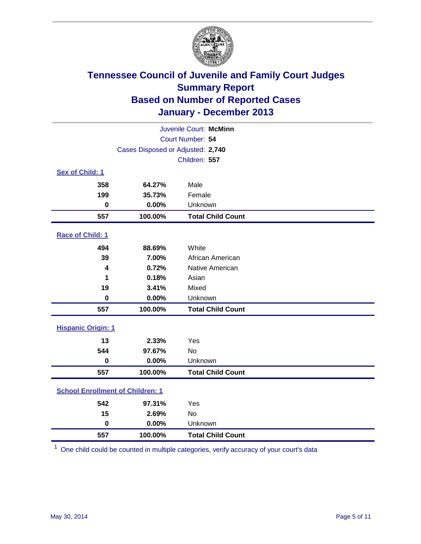

| Juvenile Court: McMinn                  |                                   |                          |  |  |  |
|-----------------------------------------|-----------------------------------|--------------------------|--|--|--|
|                                         | Court Number: 54                  |                          |  |  |  |
|                                         | Cases Disposed or Adjusted: 2,740 |                          |  |  |  |
|                                         |                                   | Children: 557            |  |  |  |
| Sex of Child: 1                         |                                   |                          |  |  |  |
| 358                                     | 64.27%                            | Male                     |  |  |  |
| 199                                     | 35.73%                            | Female                   |  |  |  |
| $\bf{0}$                                | 0.00%                             | Unknown                  |  |  |  |
| 557                                     | 100.00%                           | <b>Total Child Count</b> |  |  |  |
| Race of Child: 1                        |                                   |                          |  |  |  |
| 494                                     | 88.69%                            | White                    |  |  |  |
| 39                                      | 7.00%                             | African American         |  |  |  |
| $\overline{\mathbf{4}}$                 | 0.72%                             | Native American          |  |  |  |
| 1                                       | 0.18%                             | Asian                    |  |  |  |
| 19                                      | 3.41%                             | Mixed                    |  |  |  |
| $\mathbf 0$                             | 0.00%                             | Unknown                  |  |  |  |
| 557                                     | 100.00%                           | <b>Total Child Count</b> |  |  |  |
| <b>Hispanic Origin: 1</b>               |                                   |                          |  |  |  |
| 13                                      | 2.33%                             | Yes                      |  |  |  |
| 544                                     | 97.67%                            | <b>No</b>                |  |  |  |
| $\pmb{0}$                               | 0.00%                             | Unknown                  |  |  |  |
| 557                                     | 100.00%                           | <b>Total Child Count</b> |  |  |  |
| <b>School Enrollment of Children: 1</b> |                                   |                          |  |  |  |
| 542                                     | 97.31%                            | Yes                      |  |  |  |
| 15                                      | 2.69%                             | <b>No</b>                |  |  |  |
| $\mathbf 0$                             | 0.00%                             | Unknown                  |  |  |  |
| 557                                     | 100.00%                           | <b>Total Child Count</b> |  |  |  |

One child could be counted in multiple categories, verify accuracy of your court's data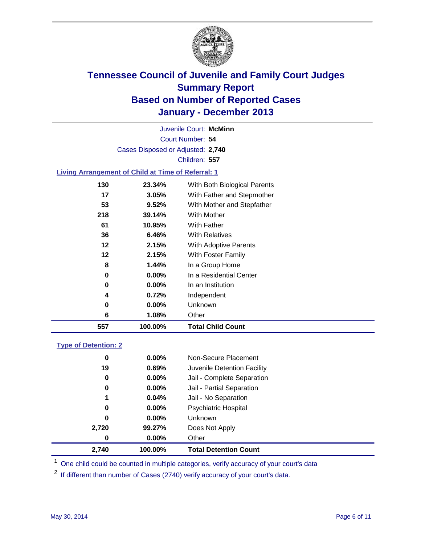

Court Number: **54** Juvenile Court: **McMinn** Cases Disposed or Adjusted: **2,740** Children: **557**

### **Living Arrangement of Child at Time of Referral: 1**

| 557 | 100.00%  | <b>Total Child Count</b>     |
|-----|----------|------------------------------|
| 6   | 1.08%    | Other                        |
| 0   | $0.00\%$ | Unknown                      |
| 4   | 0.72%    | Independent                  |
| 0   | $0.00\%$ | In an Institution            |
| 0   | 0.00%    | In a Residential Center      |
| 8   | 1.44%    | In a Group Home              |
| 12  | 2.15%    | With Foster Family           |
| 12  | 2.15%    | <b>With Adoptive Parents</b> |
| 36  | 6.46%    | <b>With Relatives</b>        |
| 61  | 10.95%   | With Father                  |
| 218 | 39.14%   | With Mother                  |
| 53  | 9.52%    | With Mother and Stepfather   |
| 17  | 3.05%    | With Father and Stepmother   |
| 130 | 23.34%   | With Both Biological Parents |
|     |          |                              |

#### **Type of Detention: 2**

| 2,740 | 100.00%  | <b>Total Detention Count</b> |
|-------|----------|------------------------------|
| 0     | $0.00\%$ | Other                        |
| 2,720 | 99.27%   | Does Not Apply               |
| 0     | $0.00\%$ | <b>Unknown</b>               |
| 0     | $0.00\%$ | <b>Psychiatric Hospital</b>  |
| 1     | 0.04%    | Jail - No Separation         |
| 0     | $0.00\%$ | Jail - Partial Separation    |
| 0     | 0.00%    | Jail - Complete Separation   |
| 19    | 0.69%    | Juvenile Detention Facility  |
| 0     | 0.00%    | Non-Secure Placement         |
|       |          |                              |

<sup>1</sup> One child could be counted in multiple categories, verify accuracy of your court's data

<sup>2</sup> If different than number of Cases (2740) verify accuracy of your court's data.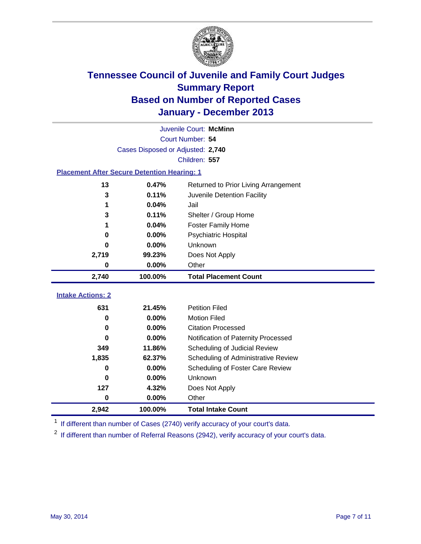

|                                                    | Juvenile Court: McMinn            |                                      |  |  |  |
|----------------------------------------------------|-----------------------------------|--------------------------------------|--|--|--|
| Court Number: 54                                   |                                   |                                      |  |  |  |
|                                                    | Cases Disposed or Adjusted: 2,740 |                                      |  |  |  |
|                                                    |                                   | Children: 557                        |  |  |  |
| <b>Placement After Secure Detention Hearing: 1</b> |                                   |                                      |  |  |  |
| 13                                                 | 0.47%                             | Returned to Prior Living Arrangement |  |  |  |
| 3                                                  | 0.11%                             | Juvenile Detention Facility          |  |  |  |
| 1                                                  | 0.04%                             | Jail                                 |  |  |  |
| 3                                                  | 0.11%                             | Shelter / Group Home                 |  |  |  |
| 1                                                  | 0.04%                             | <b>Foster Family Home</b>            |  |  |  |
| 0                                                  | 0.00%                             | Psychiatric Hospital                 |  |  |  |
| 0                                                  | 0.00%                             | Unknown                              |  |  |  |
| 2,719                                              | 99.23%                            | Does Not Apply                       |  |  |  |
| 0                                                  | 0.00%                             | Other                                |  |  |  |
| 2,740                                              | 100.00%                           | <b>Total Placement Count</b>         |  |  |  |
| <b>Intake Actions: 2</b>                           |                                   |                                      |  |  |  |
|                                                    |                                   |                                      |  |  |  |
| 631                                                | 21.45%                            | <b>Petition Filed</b>                |  |  |  |
| 0                                                  | 0.00%                             | <b>Motion Filed</b>                  |  |  |  |
| 0                                                  | 0.00%                             | <b>Citation Processed</b>            |  |  |  |
| U                                                  | 0.00%                             | Notification of Paternity Processed  |  |  |  |
| 349                                                | 11.86%                            | Scheduling of Judicial Review        |  |  |  |
| 1,835                                              | 62.37%                            | Scheduling of Administrative Review  |  |  |  |
| 0                                                  | 0.00%                             | Scheduling of Foster Care Review     |  |  |  |
| 0                                                  | 0.00%                             | Unknown                              |  |  |  |
| 127                                                | 4.32%                             | Does Not Apply                       |  |  |  |
| 0                                                  | 0.00%                             | Other                                |  |  |  |
| 2,942                                              | 100.00%                           | <b>Total Intake Count</b>            |  |  |  |

<sup>1</sup> If different than number of Cases (2740) verify accuracy of your court's data.

 $2$  If different than number of Referral Reasons (2942), verify accuracy of your court's data.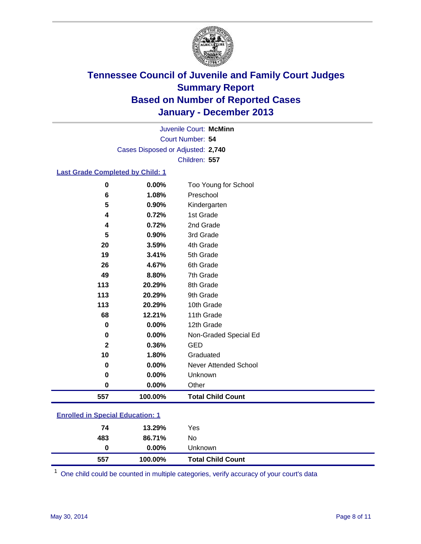

Court Number: **54** Juvenile Court: **McMinn** Cases Disposed or Adjusted: **2,740** Children: **557**

### **Last Grade Completed by Child: 1**

| $\bf{0}$     | 0.00%   | Too Young for School     |
|--------------|---------|--------------------------|
| 6            | 1.08%   | Preschool                |
| 5            | 0.90%   | Kindergarten             |
| 4            | 0.72%   | 1st Grade                |
| 4            | 0.72%   | 2nd Grade                |
| 5            | 0.90%   | 3rd Grade                |
| 20           | 3.59%   | 4th Grade                |
| 19           | 3.41%   | 5th Grade                |
| 26           | 4.67%   | 6th Grade                |
| 49           | 8.80%   | 7th Grade                |
| 113          | 20.29%  | 8th Grade                |
| 113          | 20.29%  | 9th Grade                |
| 113          | 20.29%  | 10th Grade               |
| 68           | 12.21%  | 11th Grade               |
| $\mathbf 0$  | 0.00%   | 12th Grade               |
| $\bf{0}$     | 0.00%   | Non-Graded Special Ed    |
| $\mathbf{2}$ | 0.36%   | <b>GED</b>               |
| 10           | 1.80%   | Graduated                |
| 0            | 0.00%   | Never Attended School    |
| $\bf{0}$     | 0.00%   | Unknown                  |
| 0            | 0.00%   | Other                    |
| 557          | 100.00% | <b>Total Child Count</b> |

| <b>Enrolled in Special Education: 1</b> |                                 |  |
|-----------------------------------------|---------------------------------|--|
|                                         | $\overline{10}$ $\overline{20}$ |  |

| 74  | 13.29%   | Yes                      |
|-----|----------|--------------------------|
| 483 | 86.71%   | No                       |
| 0   | $0.00\%$ | Unknown                  |
| 557 | 100.00%  | <b>Total Child Count</b> |

One child could be counted in multiple categories, verify accuracy of your court's data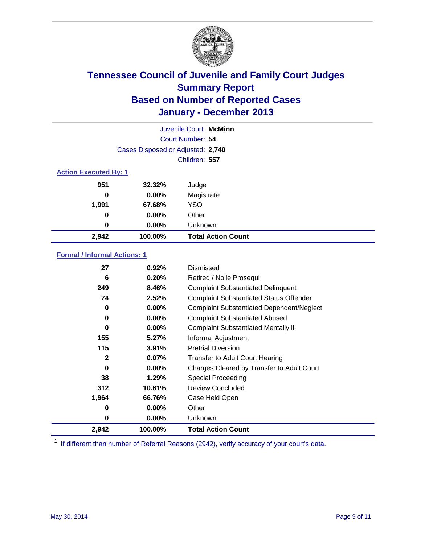

|                              |                                   | Juvenile Court: McMinn    |
|------------------------------|-----------------------------------|---------------------------|
|                              |                                   | Court Number: 54          |
|                              | Cases Disposed or Adjusted: 2,740 |                           |
|                              |                                   | Children: 557             |
| <b>Action Executed By: 1</b> |                                   |                           |
| 951                          | 32.32%                            | Judge                     |
| 0                            | $0.00\%$                          | Magistrate                |
| 1,991                        | 67.68%                            | <b>YSO</b>                |
| 0                            | $0.00\%$                          | Other                     |
| 0                            | $0.00\%$                          | Unknown                   |
| 2,942                        | 100.00%                           | <b>Total Action Count</b> |

### **Formal / Informal Actions: 1**

| 27       | 0.92%    | Dismissed                                        |
|----------|----------|--------------------------------------------------|
| 6        | 0.20%    | Retired / Nolle Prosequi                         |
| 249      | 8.46%    | <b>Complaint Substantiated Delinquent</b>        |
| 74       | 2.52%    | <b>Complaint Substantiated Status Offender</b>   |
| 0        | $0.00\%$ | <b>Complaint Substantiated Dependent/Neglect</b> |
| 0        | $0.00\%$ | <b>Complaint Substantiated Abused</b>            |
| $\bf{0}$ | $0.00\%$ | <b>Complaint Substantiated Mentally III</b>      |
| 155      | 5.27%    | Informal Adjustment                              |
| 115      | 3.91%    | <b>Pretrial Diversion</b>                        |
| 2        | 0.07%    | <b>Transfer to Adult Court Hearing</b>           |
| 0        | $0.00\%$ | Charges Cleared by Transfer to Adult Court       |
| 38       | 1.29%    | <b>Special Proceeding</b>                        |
| 312      | 10.61%   | <b>Review Concluded</b>                          |
| 1,964    | 66.76%   | Case Held Open                                   |
| 0        | $0.00\%$ | Other                                            |
| 0        | $0.00\%$ | <b>Unknown</b>                                   |
| 2,942    | 100.00%  | <b>Total Action Count</b>                        |

<sup>1</sup> If different than number of Referral Reasons (2942), verify accuracy of your court's data.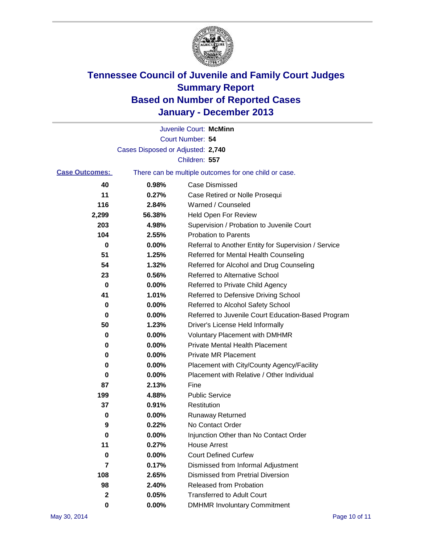

|        | Juvenile Court: McMinn                                |
|--------|-------------------------------------------------------|
|        | Court Number: 54                                      |
|        |                                                       |
|        | Children: 557                                         |
|        | There can be multiple outcomes for one child or case. |
| 0.98%  | Case Dismissed                                        |
| 0.27%  | Case Retired or Nolle Prosequi                        |
| 2.84%  | Warned / Counseled                                    |
| 56.38% | Held Open For Review                                  |
| 4.98%  | Supervision / Probation to Juvenile Court             |
| 2.55%  | <b>Probation to Parents</b>                           |
| 0.00%  | Referral to Another Entity for Supervision / Service  |
| 1.25%  | Referred for Mental Health Counseling                 |
| 1.32%  | Referred for Alcohol and Drug Counseling              |
| 0.56%  | Referred to Alternative School                        |
| 0.00%  | Referred to Private Child Agency                      |
| 1.01%  | Referred to Defensive Driving School                  |
| 0.00%  | Referred to Alcohol Safety School                     |
| 0.00%  | Referred to Juvenile Court Education-Based Program    |
| 1.23%  | Driver's License Held Informally                      |
| 0.00%  | <b>Voluntary Placement with DMHMR</b>                 |
| 0.00%  | <b>Private Mental Health Placement</b>                |
| 0.00%  | <b>Private MR Placement</b>                           |
| 0.00%  | Placement with City/County Agency/Facility            |
| 0.00%  | Placement with Relative / Other Individual            |
| 2.13%  | Fine                                                  |
| 4.88%  | <b>Public Service</b>                                 |
| 0.91%  | Restitution                                           |
| 0.00%  | <b>Runaway Returned</b>                               |
| 0.22%  | No Contact Order                                      |
| 0.00%  | Injunction Other than No Contact Order                |
| 0.27%  | <b>House Arrest</b>                                   |
| 0.00%  | <b>Court Defined Curfew</b>                           |
| 0.17%  | Dismissed from Informal Adjustment                    |
| 2.65%  | <b>Dismissed from Pretrial Diversion</b>              |
| 2.40%  | Released from Probation                               |
| 0.05%  | <b>Transferred to Adult Court</b>                     |
| 0.00%  | <b>DMHMR Involuntary Commitment</b>                   |
|        | Cases Disposed or Adjusted: 2,740                     |